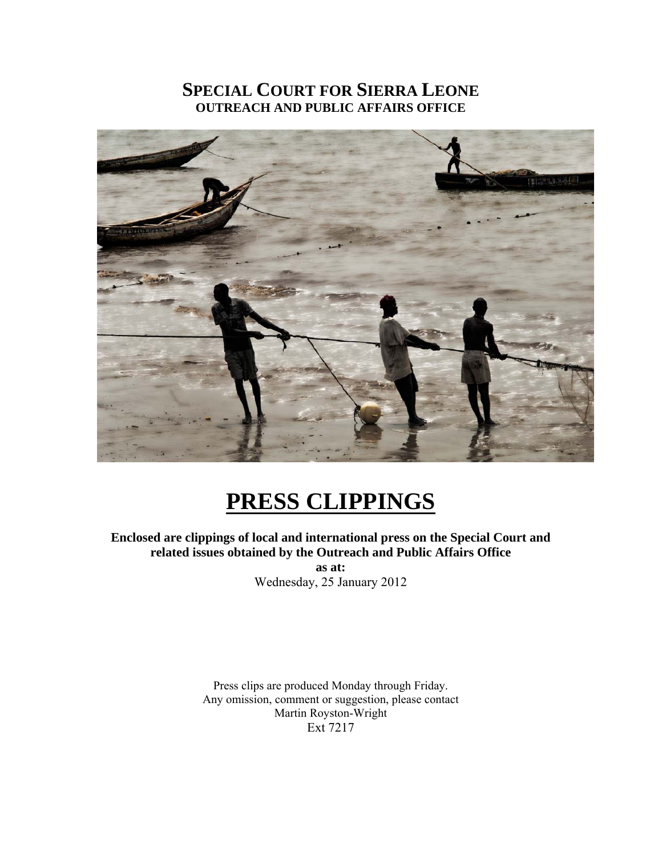#### **SPECIAL COURT FOR SIERRA LEONE OUTREACH AND PUBLIC AFFAIRS OFFICE**



## **PRESS CLIPPINGS**

**Enclosed are clippings of local and international press on the Special Court and related issues obtained by the Outreach and Public Affairs Office** 

**as at:**  Wednesday, 25 January 2012

Press clips are produced Monday through Friday. Any omission, comment or suggestion, please contact Martin Royston-Wright Ext 7217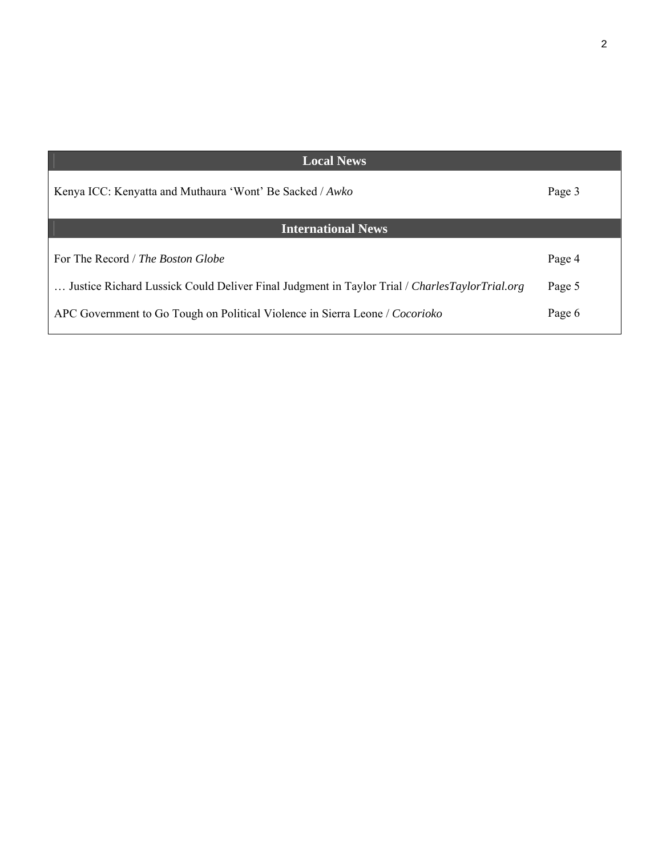| <b>Local News</b>                                                                             |        |
|-----------------------------------------------------------------------------------------------|--------|
| Kenya ICC: Kenyatta and Muthaura 'Wont' Be Sacked / Awko                                      | Page 3 |
| <b>International News</b>                                                                     |        |
| For The Record / The Boston Globe                                                             | Page 4 |
| Justice Richard Lussick Could Deliver Final Judgment in Taylor Trial / CharlesTaylorTrial.org | Page 5 |
| APC Government to Go Tough on Political Violence in Sierra Leone / Cocorioko                  | Page 6 |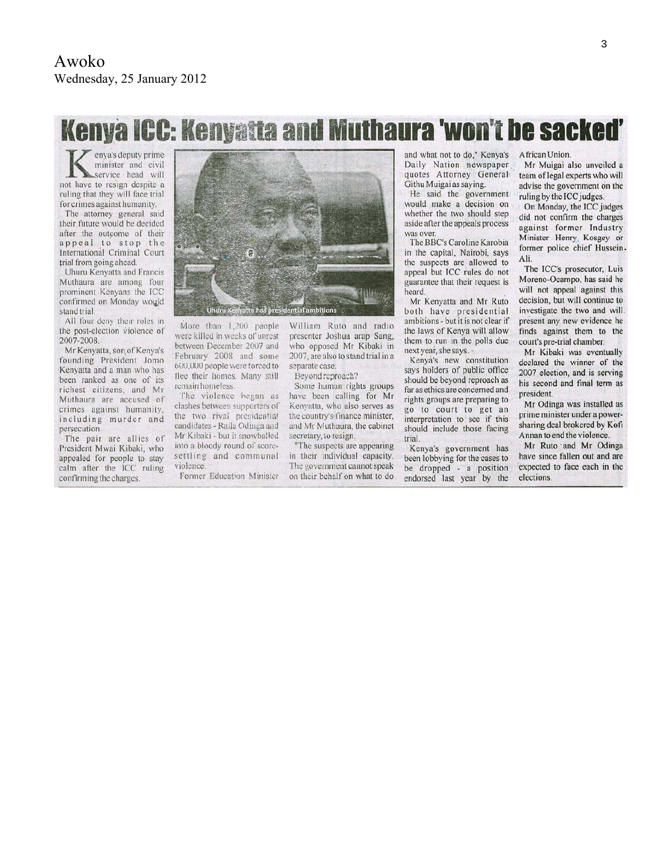# Kenya ICC: Kenyatta and Muthaura 'won't be sacked'

enya's deputy prime minister and civil service head will not have to resign despite a ruling that they will face trial for crimes against humanity.

The attorney general said their future would be decided after the outcome of their appeal to stop the International Criminal Court trial from going ahead.

Uhuru Kenvatta and Francis Muthaura are among four prominent Kenyans the ICC confirmed on Monday would stand trial

All four deny their roles in the post-election violence of 2007-2008.

Mr Kenyatta, son of Kenya's founding President Jomo Kenyatta and a man who has been ranked as one of its richest citizens, and Mr Muthaura are accused of crimes against humanity. including murder and persecution.

The pair are allies of President Mwai Kibaki, who appealed for people to stay calm after the ICC ruling confirming the charges.



More than 1,200 people were killed in weeks of unrest between December 2007 and February 2008 and some 600,000 people were forced to flee their homes. Many still remain homeless.

The violence began as clashes between supporters of the two rival presidential candidates - Raila Odinga and Mr Kibaki - but it snowballed into a bloody round of scoresettling and communal violence.

Former Education Minister

William Ruto and radio presenter Joshua arap Sang, who opposed Mr Kibaki in 2007, are also to stand trial in a separate case. Beyond reproach?

Some human rights groups have been calling for Mr Kenyatta, who also serves as the country's finance minister, and Mr Muthaura, the cabinet secretary, to resign.

"The suspects are appearing in their individual capacity. The government cannot speak on their behalf on what to do and what not to do," Kenya's Daily Nation newspaper quotes Attorney General Githu Muigai as saying.

He said the government would make a decision on whether the two should step aside after the appeals process was over.

The BBC's Caroline Karobia in the capital, Nairobi, says the suspects are allowed to appeal but ICC rules do not guarantee that their request is heard

Mr Kenyatta and Mr Ruto both have presidential ambitions - but it is not clear if the laws of Kenya will allow them to run in the polls due next year, she says.

Kenya's new constitution<br>says holders of public office should be beyond reproach as far as ethics are concerned and rights groups are preparing to go to court to get an interpretation to see if this should include those facing trial

Kenya's government has been lobbying for the cases to be dropped - a position<br>endorsed last year by the African Union.

Mr Muigai also unveiled a team of legal experts who will advise the government on the ruling by the ICC judges.

On Monday, the ICC judges did not confirm the charges against former Industry Minister Henry Kosgey or former police chief Hussein. Ali.

The ICC's prosecutor, Luis Moreno-Ocampo, has said he will not appeal against this decision, but will continue to investigate the two and will. present any new evidence he finds against them to the court's pre-trial chamber.

Mr Kibaki was eventually declared the winner of the 2007 election, and is serving his second and final term as president.

Mr Odinga was installed as prime minister under a powersharing deal brokered by Kofi Annan to end the violence.

Mr Ruto and Mr Odinga have since fallen out and are expected to face each in the elections.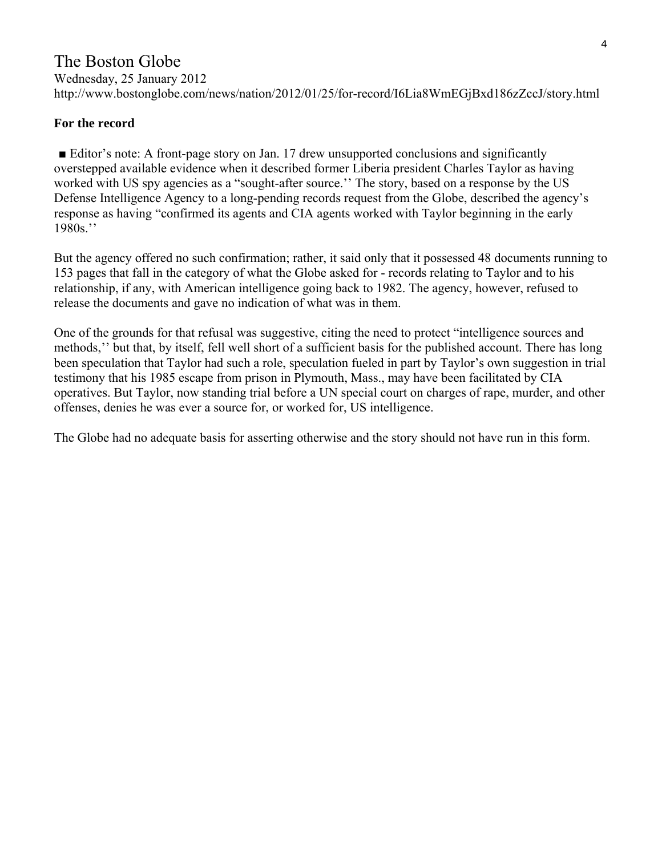#### The Boston Globe

Wednesday, 25 January 2012 http://www.bostonglobe.com/news/nation/2012/01/25/for-record/I6Lia8WmEGjBxd186zZccJ/story.html

#### **For the record**

■ Editor's note: A front-page story on Jan. 17 drew unsupported conclusions and significantly overstepped available evidence when it described former Liberia president Charles Taylor as having worked with US spy agencies as a "sought-after source.'' The story, based on a response by the US Defense Intelligence Agency to a long-pending records request from the Globe, described the agency's response as having "confirmed its agents and CIA agents worked with Taylor beginning in the early 1980s.''

But the agency offered no such confirmation; rather, it said only that it possessed 48 documents running to 153 pages that fall in the category of what the Globe asked for - records relating to Taylor and to his relationship, if any, with American intelligence going back to 1982. The agency, however, refused to release the documents and gave no indication of what was in them.

One of the grounds for that refusal was suggestive, citing the need to protect "intelligence sources and methods,'' but that, by itself, fell well short of a sufficient basis for the published account. There has long been speculation that Taylor had such a role, speculation fueled in part by Taylor's own suggestion in trial testimony that his 1985 escape from prison in Plymouth, Mass., may have been facilitated by CIA operatives. But Taylor, now standing trial before a UN special court on charges of rape, murder, and other offenses, denies he was ever a source for, or worked for, US intelligence.

The Globe had no adequate basis for asserting otherwise and the story should not have run in this form.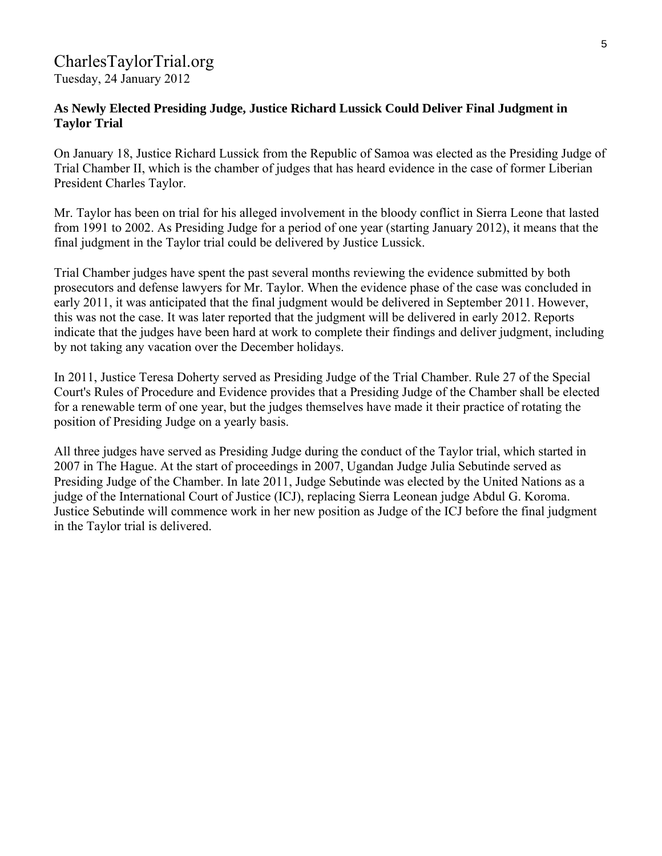### CharlesTaylorTrial.org

Tuesday, 24 January 2012

#### **As Newly Elected Presiding Judge, Justice Richard Lussick Could Deliver Final Judgment in Taylor Trial**

On January 18, Justice Richard Lussick from the Republic of Samoa was elected as the Presiding Judge of Trial Chamber II, which is the chamber of judges that has heard evidence in the case of former Liberian President Charles Taylor.

Mr. Taylor has been on trial for his alleged involvement in the bloody conflict in Sierra Leone that lasted from 1991 to 2002. As Presiding Judge for a period of one year (starting January 2012), it means that the final judgment in the Taylor trial could be delivered by Justice Lussick.

Trial Chamber judges have spent the past several months reviewing the evidence submitted by both prosecutors and defense lawyers for Mr. Taylor. When the evidence phase of the case was concluded in early 2011, it was anticipated that the final judgment would be delivered in September 2011. However, this was not the case. It was later reported that the judgment will be delivered in early 2012. Reports indicate that the judges have been hard at work to complete their findings and deliver judgment, including by not taking any vacation over the December holidays.

In 2011, Justice Teresa Doherty served as Presiding Judge of the Trial Chamber. Rule 27 of the Special Court's Rules of Procedure and Evidence provides that a Presiding Judge of the Chamber shall be elected for a renewable term of one year, but the judges themselves have made it their practice of rotating the position of Presiding Judge on a yearly basis.

All three judges have served as Presiding Judge during the conduct of the Taylor trial, which started in 2007 in The Hague. At the start of proceedings in 2007, Ugandan Judge Julia Sebutinde served as Presiding Judge of the Chamber. In late 2011, Judge Sebutinde was elected by the United Nations as a judge of the International Court of Justice (ICJ), replacing Sierra Leonean judge Abdul G. Koroma. Justice Sebutinde will commence work in her new position as Judge of the ICJ before the final judgment in the Taylor trial is delivered.